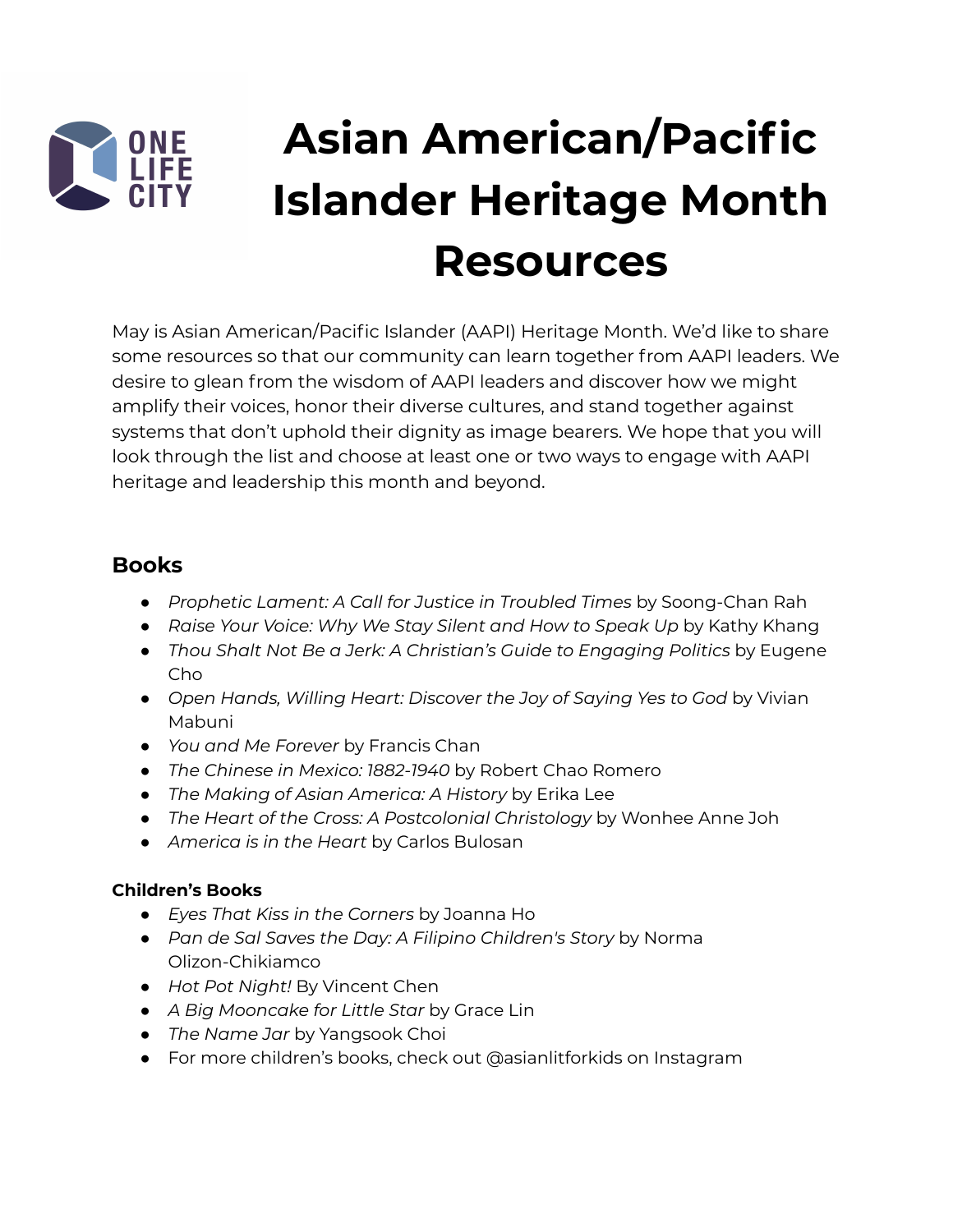

# **Asian American/Pacific Islander Heritage Month Resources**

May is Asian American/Pacific Islander (AAPI) Heritage Month. We'd like to share some resources so that our community can learn together from AAPI leaders. We desire to glean from the wisdom of AAPI leaders and discover how we might amplify their voices, honor their diverse cultures, and stand together against systems that don't uphold their dignity as image bearers. We hope that you will look through the list and choose at least one or two ways to engage with AAPI heritage and leadership this month and beyond.

#### **Books**

- *Prophetic Lament: A Call for Justice in Troubled Times* by Soong-Chan Rah
- *Raise Your Voice: Why We Stay Silent and How to Speak Up* by Kathy Khang
- *Thou Shalt Not Be a Jerk: A Christian's Guide to Engaging Politics* by Eugene Cho
- *Open Hands, Willing Heart: Discover the Joy of Saying Yes to God* by Vivian Mabuni
- *You and Me Forever* by Francis Chan
- *● The Chinese in Mexico: 1882-1940* by Robert Chao Romero
- *The Making of Asian America: A History* by Erika Lee
- *● The Heart of the Cross: A Postcolonial Christology* by Wonhee Anne Joh
- *● America is in the Heart* by Carlos Bulosan

#### **Children's Books**

- *Eyes That Kiss in the Corners* by Joanna Ho
- *Pan de Sal Saves the Day: A Filipino Children's Story* by Norma Olizon-Chikiamco
- *Hot Pot Night!* By Vincent Chen
- *A Big Mooncake for Little Star* by Grace Lin
- *The Name Jar* by Yangsook Choi
- For more children's books, check out @asianlitforkids on Instagram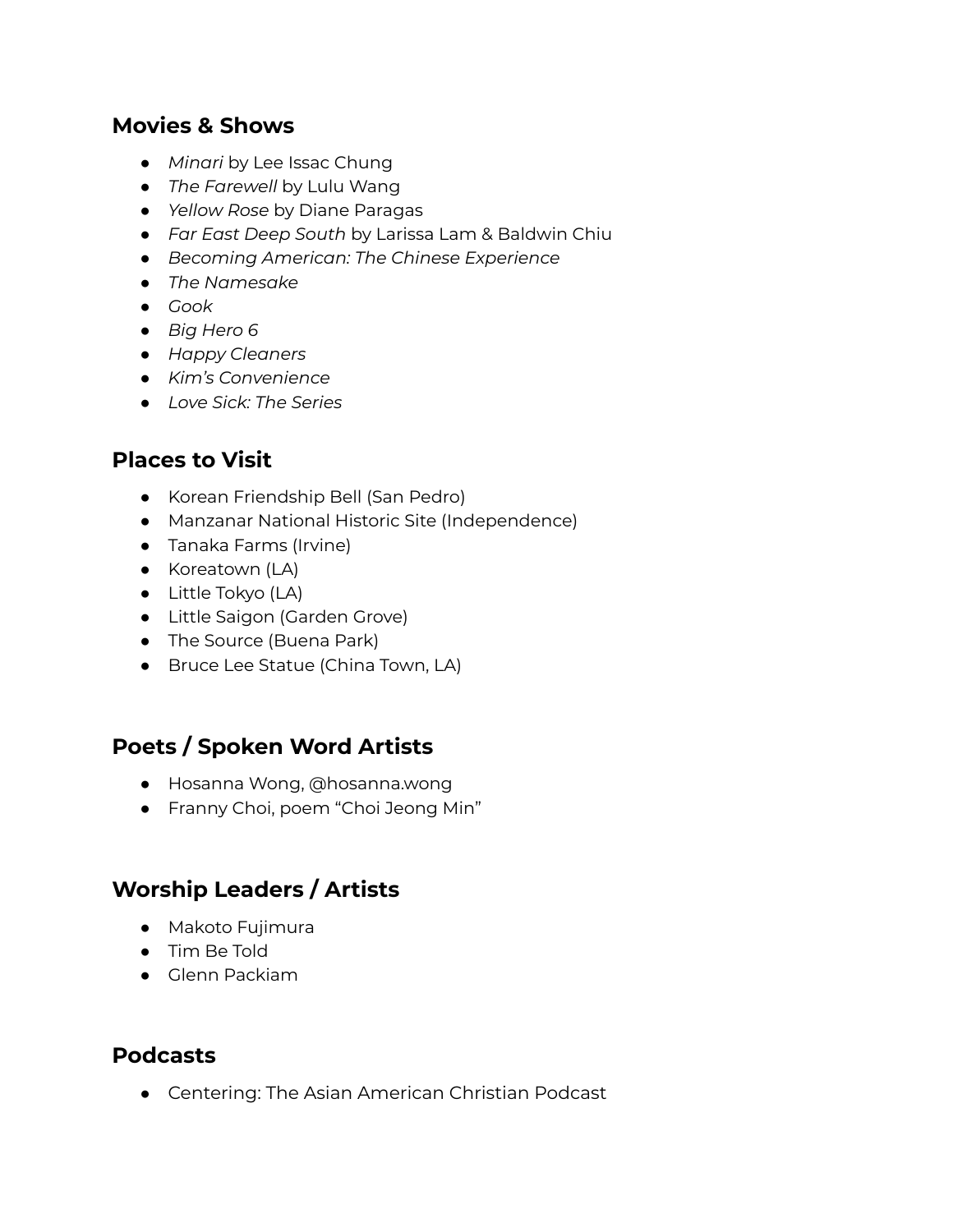#### **Movies & Shows**

- *● Minari* by Lee Issac Chung
- *The Farewell* by Lulu Wang
- *Yellow Rose* by Diane Paragas
- *Far East Deep South* by Larissa Lam & Baldwin Chiu
- *● Becoming American: The Chinese Experience*
- *● The Namesake*
- *● Gook*
- *● Big Hero 6*
- *● Happy Cleaners*
- *● Kim's Convenience*
- *● Love Sick: The Series*

### **Places to Visit**

- *●* Korean Friendship Bell (San Pedro)
- Manzanar National Historic Site (Independence)
- Tanaka Farms (Irvine)
- Koreatown (LA)
- Little Tokyo (LA)
- Little Saigon (Garden Grove)
- The Source (Buena Park)
- Bruce Lee Statue (China Town, LA)

### **Poets / Spoken Word Artists**

- Hosanna Wong, @hosanna.wong
- Franny Choi, poem "Choi Jeong Min"

### **Worship Leaders / Artists**

- Makoto Fujimura
- Tim Be Told
- Glenn Packiam

#### **Podcasts**

• Centering: The Asian American Christian Podcast